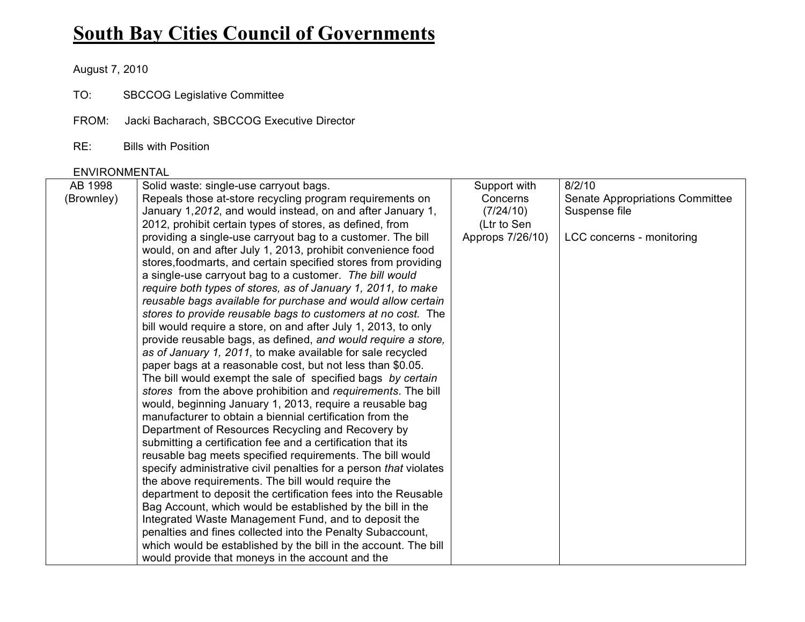# **South Bay Cities Council of Governments**

August 7, 2010

TO: SBCCOG Legislative Committee

FROM: Jacki Bacharach, SBCCOG Executive Director

RE: Bills with Position

#### ENVIRONMENTAL

| AB 1998    | Solid waste: single-use carryout bags.                            | Support with     | 8/2/10                          |
|------------|-------------------------------------------------------------------|------------------|---------------------------------|
| (Brownley) | Repeals those at-store recycling program requirements on          | Concerns         | Senate Appropriations Committee |
|            | January 1,2012, and would instead, on and after January 1,        | (7/24/10)        | Suspense file                   |
|            | 2012, prohibit certain types of stores, as defined, from          | (Ltr to Sen      |                                 |
|            | providing a single-use carryout bag to a customer. The bill       | Approps 7/26/10) | LCC concerns - monitoring       |
|            | would, on and after July 1, 2013, prohibit convenience food       |                  |                                 |
|            | stores, foodmarts, and certain specified stores from providing    |                  |                                 |
|            | a single-use carryout bag to a customer. The bill would           |                  |                                 |
|            | require both types of stores, as of January 1, 2011, to make      |                  |                                 |
|            | reusable bags available for purchase and would allow certain      |                  |                                 |
|            | stores to provide reusable bags to customers at no cost. The      |                  |                                 |
|            | bill would require a store, on and after July 1, 2013, to only    |                  |                                 |
|            | provide reusable bags, as defined, and would require a store,     |                  |                                 |
|            | as of January 1, 2011, to make available for sale recycled        |                  |                                 |
|            | paper bags at a reasonable cost, but not less than \$0.05.        |                  |                                 |
|            | The bill would exempt the sale of specified bags by certain       |                  |                                 |
|            | stores from the above prohibition and requirements. The bill      |                  |                                 |
|            | would, beginning January 1, 2013, require a reusable bag          |                  |                                 |
|            | manufacturer to obtain a biennial certification from the          |                  |                                 |
|            | Department of Resources Recycling and Recovery by                 |                  |                                 |
|            | submitting a certification fee and a certification that its       |                  |                                 |
|            | reusable bag meets specified requirements. The bill would         |                  |                                 |
|            | specify administrative civil penalties for a person that violates |                  |                                 |
|            | the above requirements. The bill would require the                |                  |                                 |
|            | department to deposit the certification fees into the Reusable    |                  |                                 |
|            | Bag Account, which would be established by the bill in the        |                  |                                 |
|            | Integrated Waste Management Fund, and to deposit the              |                  |                                 |
|            | penalties and fines collected into the Penalty Subaccount,        |                  |                                 |
|            | which would be established by the bill in the account. The bill   |                  |                                 |
|            | would provide that moneys in the account and the                  |                  |                                 |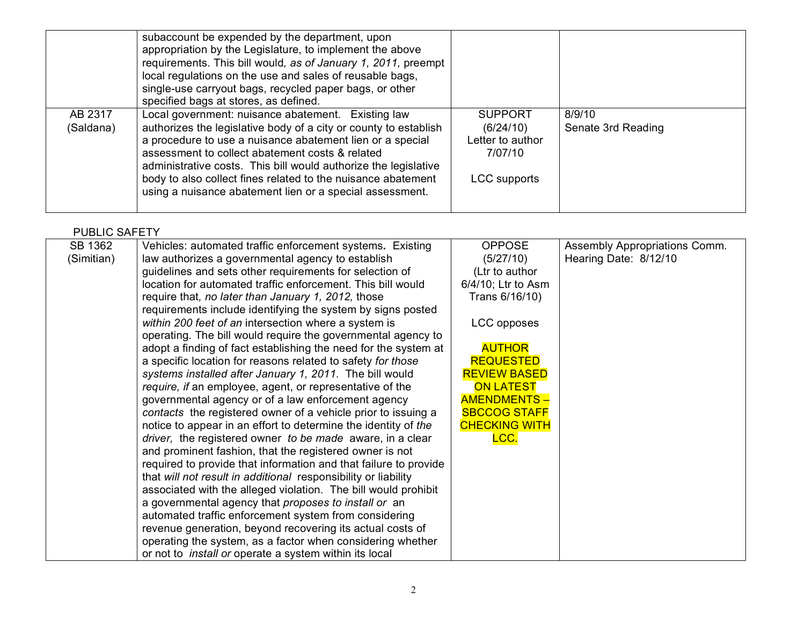|           | subaccount be expended by the department, upon<br>appropriation by the Legislature, to implement the above<br>requirements. This bill would, as of January 1, 2011, preempt<br>local regulations on the use and sales of reusable bags,<br>single-use carryout bags, recycled paper bags, or other<br>specified bags at stores, as defined. |                  |                    |
|-----------|---------------------------------------------------------------------------------------------------------------------------------------------------------------------------------------------------------------------------------------------------------------------------------------------------------------------------------------------|------------------|--------------------|
| AB 2317   | Local government: nuisance abatement. Existing law                                                                                                                                                                                                                                                                                          | <b>SUPPORT</b>   | 8/9/10             |
| (Saldana) | authorizes the legislative body of a city or county to establish                                                                                                                                                                                                                                                                            | (6/24/10)        | Senate 3rd Reading |
|           | a procedure to use a nuisance abatement lien or a special                                                                                                                                                                                                                                                                                   | Letter to author |                    |
|           | assessment to collect abatement costs & related                                                                                                                                                                                                                                                                                             | 7/07/10          |                    |
|           | administrative costs. This bill would authorize the legislative                                                                                                                                                                                                                                                                             |                  |                    |
|           | body to also collect fines related to the nuisance abatement                                                                                                                                                                                                                                                                                | LCC supports     |                    |
|           | using a nuisance abatement lien or a special assessment.                                                                                                                                                                                                                                                                                    |                  |                    |
|           |                                                                                                                                                                                                                                                                                                                                             |                  |                    |

#### PUBLIC SAFETY

| SB 1362    | Vehicles: automated traffic enforcement systems. Existing        | <b>OPPOSE</b>        | Assembly Appropriations Comm. |
|------------|------------------------------------------------------------------|----------------------|-------------------------------|
| (Simitian) | law authorizes a governmental agency to establish                | (5/27/10)            | Hearing Date: 8/12/10         |
|            | guidelines and sets other requirements for selection of          | (Ltr to author       |                               |
|            | location for automated traffic enforcement. This bill would      | 6/4/10; Ltr to Asm   |                               |
|            | require that, no later than January 1, 2012, those               | Trans 6/16/10)       |                               |
|            | requirements include identifying the system by signs posted      |                      |                               |
|            | within 200 feet of an intersection where a system is             | LCC opposes          |                               |
|            | operating. The bill would require the governmental agency to     |                      |                               |
|            | adopt a finding of fact establishing the need for the system at  | <b>AUTHOR</b>        |                               |
|            | a specific location for reasons related to safety for those      | <b>REQUESTED</b>     |                               |
|            | systems installed after January 1, 2011. The bill would          | <b>REVIEW BASED</b>  |                               |
|            | require, if an employee, agent, or representative of the         | <b>ON LATEST</b>     |                               |
|            | governmental agency or of a law enforcement agency               | <b>AMENDMENTS-</b>   |                               |
|            | contacts the registered owner of a vehicle prior to issuing a    | <b>SBCCOG STAFF</b>  |                               |
|            | notice to appear in an effort to determine the identity of the   | <b>CHECKING WITH</b> |                               |
|            | driver, the registered owner to be made aware, in a clear        | LCC.                 |                               |
|            | and prominent fashion, that the registered owner is not          |                      |                               |
|            | required to provide that information and that failure to provide |                      |                               |
|            | that will not result in additional responsibility or liability   |                      |                               |
|            | associated with the alleged violation. The bill would prohibit   |                      |                               |
|            | a governmental agency that proposes to install or an             |                      |                               |
|            | automated traffic enforcement system from considering            |                      |                               |
|            | revenue generation, beyond recovering its actual costs of        |                      |                               |
|            | operating the system, as a factor when considering whether       |                      |                               |
|            | or not to <i>install or</i> operate a system within its local    |                      |                               |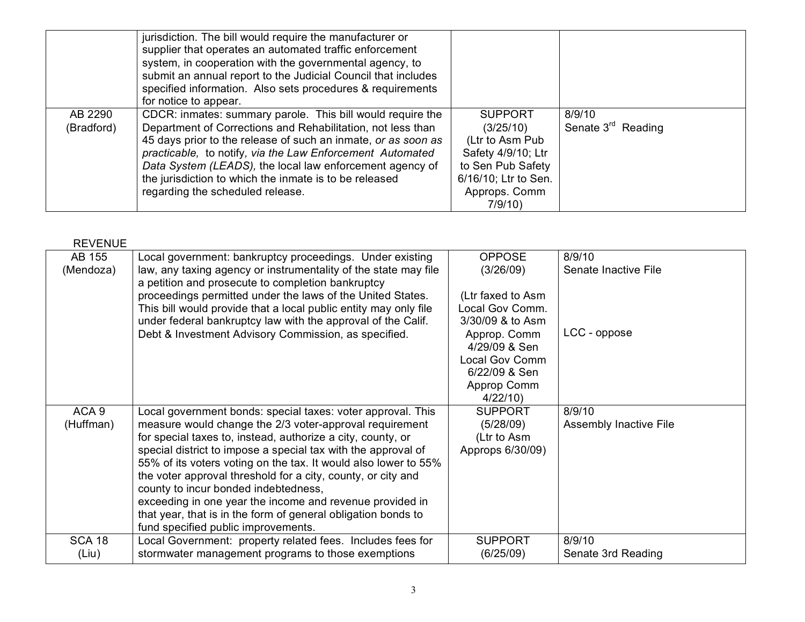|            | jurisdiction. The bill would require the manufacturer or<br>supplier that operates an automated traffic enforcement<br>system, in cooperation with the governmental agency, to<br>submit an annual report to the Judicial Council that includes<br>specified information. Also sets procedures & requirements<br>for notice to appear. |                      |                                |
|------------|----------------------------------------------------------------------------------------------------------------------------------------------------------------------------------------------------------------------------------------------------------------------------------------------------------------------------------------|----------------------|--------------------------------|
| AB 2290    | CDCR: inmates: summary parole. This bill would require the                                                                                                                                                                                                                                                                             | <b>SUPPORT</b>       | 8/9/10                         |
| (Bradford) | Department of Corrections and Rehabilitation, not less than                                                                                                                                                                                                                                                                            | (3/25/10)            | Senate 3 <sup>rd</sup> Reading |
|            | 45 days prior to the release of such an inmate, or as soon as                                                                                                                                                                                                                                                                          | (Ltr to Asm Pub)     |                                |
|            | practicable, to notify, via the Law Enforcement Automated                                                                                                                                                                                                                                                                              | Safety 4/9/10; Ltr   |                                |
|            | Data System (LEADS), the local law enforcement agency of                                                                                                                                                                                                                                                                               | to Sen Pub Safety    |                                |
|            | the jurisdiction to which the inmate is to be released                                                                                                                                                                                                                                                                                 | 6/16/10; Ltr to Sen. |                                |
|            | regarding the scheduled release.                                                                                                                                                                                                                                                                                                       | Approps. Comm        |                                |
|            |                                                                                                                                                                                                                                                                                                                                        | 7/9/10               |                                |

| <b>REVENUE</b>   |                                                                  |                   |                               |
|------------------|------------------------------------------------------------------|-------------------|-------------------------------|
| AB 155           | Local government: bankruptcy proceedings. Under existing         | <b>OPPOSE</b>     | 8/9/10                        |
| (Mendoza)        | law, any taxing agency or instrumentality of the state may file  | (3/26/09)         | Senate Inactive File          |
|                  | a petition and prosecute to completion bankruptcy                |                   |                               |
|                  | proceedings permitted under the laws of the United States.       | (Ltr faxed to Asm |                               |
|                  | This bill would provide that a local public entity may only file | Local Gov Comm.   |                               |
|                  | under federal bankruptcy law with the approval of the Calif.     | 3/30/09 & to Asm  |                               |
|                  | Debt & Investment Advisory Commission, as specified.             | Approp. Comm      | LCC - oppose                  |
|                  |                                                                  | 4/29/09 & Sen     |                               |
|                  |                                                                  | Local Gov Comm    |                               |
|                  |                                                                  | 6/22/09 & Sen     |                               |
|                  |                                                                  | Approp Comm       |                               |
|                  |                                                                  | 4/22/10           |                               |
| ACA <sub>9</sub> | Local government bonds: special taxes: voter approval. This      | <b>SUPPORT</b>    | 8/9/10                        |
| (Huffman)        | measure would change the 2/3 voter-approval requirement          | (5/28/09)         | <b>Assembly Inactive File</b> |
|                  | for special taxes to, instead, authorize a city, county, or      | (Ltr to Asm       |                               |
|                  | special district to impose a special tax with the approval of    | Approps 6/30/09)  |                               |
|                  | 55% of its voters voting on the tax. It would also lower to 55%  |                   |                               |
|                  | the voter approval threshold for a city, county, or city and     |                   |                               |
|                  | county to incur bonded indebtedness,                             |                   |                               |
|                  | exceeding in one year the income and revenue provided in         |                   |                               |
|                  | that year, that is in the form of general obligation bonds to    |                   |                               |
|                  | fund specified public improvements.                              |                   |                               |
| <b>SCA 18</b>    | Local Government: property related fees. Includes fees for       | <b>SUPPORT</b>    | 8/9/10                        |
| (Liu)            | stormwater management programs to those exemptions               | (6/25/09)         | Senate 3rd Reading            |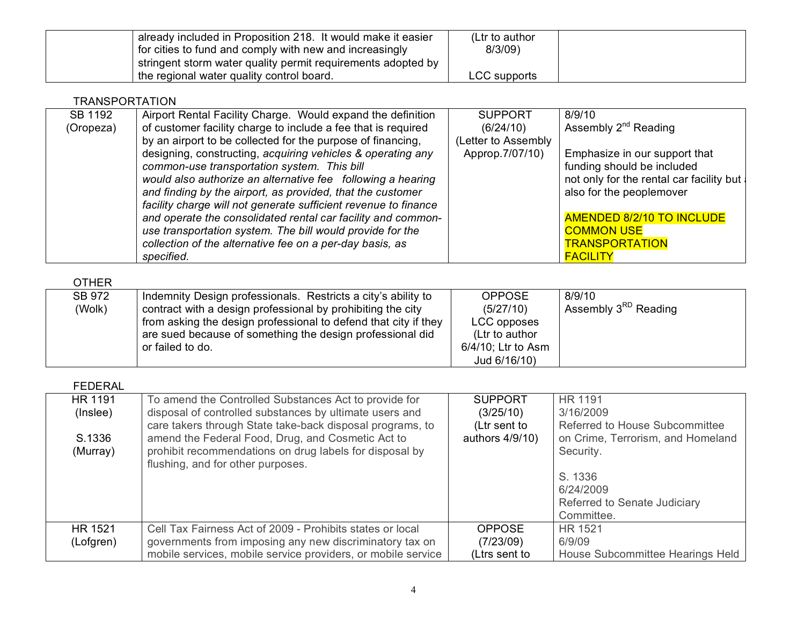| already included in Proposition 218. It would make it easier | (Ltr to author |
|--------------------------------------------------------------|----------------|
| for cities to fund and comply with new and increasingly      | $8/3/09$ )     |
| stringent storm water quality permit requirements adopted by |                |
| the regional water quality control board.                    | LCC supports   |

### TRANSPORTATION

| SB 1192   | Airport Rental Facility Charge. Would expand the definition     | <b>SUPPORT</b>      | 8/9/10                                   |
|-----------|-----------------------------------------------------------------|---------------------|------------------------------------------|
| (Oropeza) | of customer facility charge to include a fee that is required   | (6/24/10)           | Assembly 2 <sup>nd</sup> Reading         |
|           | by an airport to be collected for the purpose of financing,     | (Letter to Assembly |                                          |
|           | designing, constructing, acquiring vehicles & operating any     | Approp.7/07/10)     | Emphasize in our support that            |
|           | common-use transportation system. This bill                     |                     | funding should be included               |
|           | would also authorize an alternative fee following a hearing     |                     | not only for the rental car facility but |
|           | and finding by the airport, as provided, that the customer      |                     | also for the peoplemover                 |
|           | facility charge will not generate sufficient revenue to finance |                     |                                          |
|           | and operate the consolidated rental car facility and common-    |                     | <b>AMENDED 8/2/10 TO INCLUDE</b>         |
|           | use transportation system. The bill would provide for the       |                     | <b>COMMON USE</b>                        |
|           | collection of the alternative fee on a per-day basis, as        |                     | <b>TRANSPORTATION</b>                    |
|           | specified.                                                      |                     | <b>FACILITY</b>                          |

### OTHER

| <b>SB 972</b> | Indemnity Design professionals. Restricts a city's ability to     | <b>OPPOSE</b>      | 8/9/10                           |
|---------------|-------------------------------------------------------------------|--------------------|----------------------------------|
| (Wolk)        | contract with a design professional by prohibiting the city       | (5/27/10)          | Assembly 3 <sup>RD</sup> Reading |
|               | I from asking the design professional to defend that city if they | LCC opposes        |                                  |
|               | are sued because of something the design professional did         | (Ltr to author     |                                  |
|               | or failed to do.                                                  | 6/4/10; Ltr to Asm |                                  |
|               |                                                                   | Jud 6/16/10)       |                                  |

## FEDERAL

| <b>HR 1191</b><br>(Inslee)<br>S.1336<br>(Murray) | To amend the Controlled Substances Act to provide for<br>disposal of controlled substances by ultimate users and<br>care takers through State take-back disposal programs, to<br>amend the Federal Food, Drug, and Cosmetic Act to<br>prohibit recommendations on drug labels for disposal by<br>flushing, and for other purposes. | <b>SUPPORT</b><br>(3/25/10)<br>(Ltr sent to<br>authors 4/9/10) | <b>HR 1191</b><br>3/16/2009<br>Referred to House Subcommittee<br>on Crime, Terrorism, and Homeland<br>Security.<br>S. 1336<br>6/24/2009<br>Referred to Senate Judiciary<br>Committee. |
|--------------------------------------------------|------------------------------------------------------------------------------------------------------------------------------------------------------------------------------------------------------------------------------------------------------------------------------------------------------------------------------------|----------------------------------------------------------------|---------------------------------------------------------------------------------------------------------------------------------------------------------------------------------------|
| HR 1521                                          | Cell Tax Fairness Act of 2009 - Prohibits states or local                                                                                                                                                                                                                                                                          | <b>OPPOSE</b>                                                  | <b>HR 1521</b>                                                                                                                                                                        |
| (Lofgren)                                        | governments from imposing any new discriminatory tax on                                                                                                                                                                                                                                                                            | (7/23/09)                                                      | 6/9/09                                                                                                                                                                                |
|                                                  | mobile services, mobile service providers, or mobile service                                                                                                                                                                                                                                                                       | (Ltrs sent to                                                  | House Subcommittee Hearings Held                                                                                                                                                      |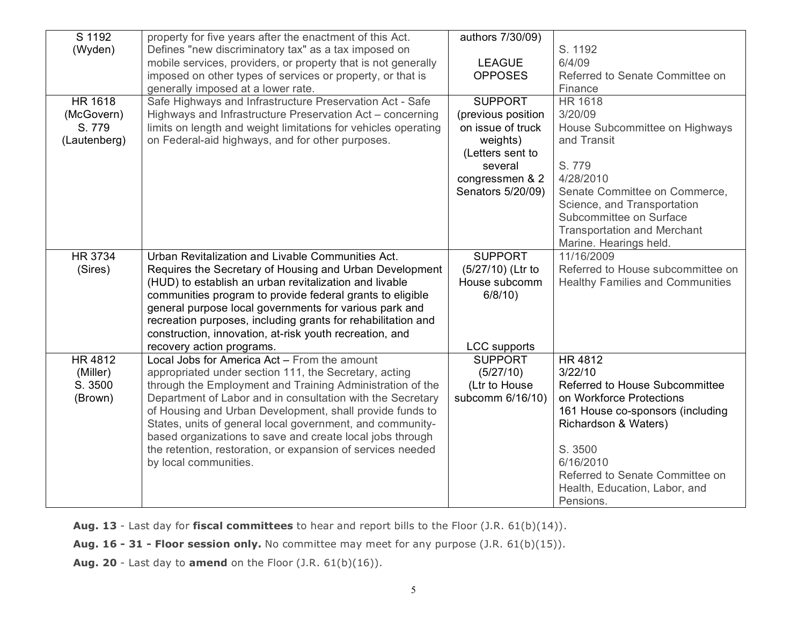| S 1192         | property for five years after the enactment of this Act.       | authors 7/30/09)    |                                         |
|----------------|----------------------------------------------------------------|---------------------|-----------------------------------------|
| (Wyden)        | Defines "new discriminatory tax" as a tax imposed on           |                     | S. 1192                                 |
|                | mobile services, providers, or property that is not generally  | <b>LEAGUE</b>       | 6/4/09                                  |
|                | imposed on other types of services or property, or that is     | <b>OPPOSES</b>      | Referred to Senate Committee on         |
|                | generally imposed at a lower rate.                             |                     | Finance                                 |
| <b>HR 1618</b> | Safe Highways and Infrastructure Preservation Act - Safe       | <b>SUPPORT</b>      | <b>HR 1618</b>                          |
| (McGovern)     | Highways and Infrastructure Preservation Act - concerning      | (previous position  | 3/20/09                                 |
| S. 779         | limits on length and weight limitations for vehicles operating | on issue of truck   | House Subcommittee on Highways          |
| (Lautenberg)   | on Federal-aid highways, and for other purposes.               | weights)            | and Transit                             |
|                |                                                                | (Letters sent to    |                                         |
|                |                                                                | several             | S. 779                                  |
|                |                                                                | congressmen & 2     | 4/28/2010                               |
|                |                                                                | Senators 5/20/09)   | Senate Committee on Commerce,           |
|                |                                                                |                     | Science, and Transportation             |
|                |                                                                |                     | Subcommittee on Surface                 |
|                |                                                                |                     | <b>Transportation and Merchant</b>      |
|                |                                                                |                     | Marine. Hearings held.                  |
| <b>HR 3734</b> | Urban Revitalization and Livable Communities Act.              | <b>SUPPORT</b>      | 11/16/2009                              |
| (Sires)        | Requires the Secretary of Housing and Urban Development        | (5/27/10) (Ltr to   | Referred to House subcommittee on       |
|                | (HUD) to establish an urban revitalization and livable         | House subcomm       | <b>Healthy Families and Communities</b> |
|                | communities program to provide federal grants to eligible      | $6/8/10$ )          |                                         |
|                | general purpose local governments for various park and         |                     |                                         |
|                | recreation purposes, including grants for rehabilitation and   |                     |                                         |
|                | construction, innovation, at-risk youth recreation, and        |                     |                                         |
|                | recovery action programs.                                      | <b>LCC</b> supports |                                         |
| <b>HR4812</b>  | Local Jobs for America Act - From the amount                   | <b>SUPPORT</b>      | <b>HR4812</b>                           |
| (Miller)       | appropriated under section 111, the Secretary, acting          | (5/27/10)           | 3/22/10                                 |
| S. 3500        | through the Employment and Training Administration of the      | (Ltr to House       | Referred to House Subcommittee          |
| (Brown)        | Department of Labor and in consultation with the Secretary     | subcomm 6/16/10)    | on Workforce Protections                |
|                | of Housing and Urban Development, shall provide funds to       |                     | 161 House co-sponsors (including        |
|                | States, units of general local government, and community-      |                     | Richardson & Waters)                    |
|                | based organizations to save and create local jobs through      |                     |                                         |
|                | the retention, restoration, or expansion of services needed    |                     | S. 3500                                 |
|                | by local communities.                                          |                     | 6/16/2010                               |
|                |                                                                |                     | Referred to Senate Committee on         |
|                |                                                                |                     | Health, Education, Labor, and           |
|                |                                                                |                     | Pensions.                               |

**Aug. 13** - Last day for **fiscal committees** to hear and report bills to the Floor (J.R. 61(b)(14)).

**Aug. 16 - 31 - Floor session only.** No committee may meet for any purpose (J.R. 61(b)(15)).

**Aug. 20** - Last day to **amend** on the Floor (J.R. 61(b)(16)).